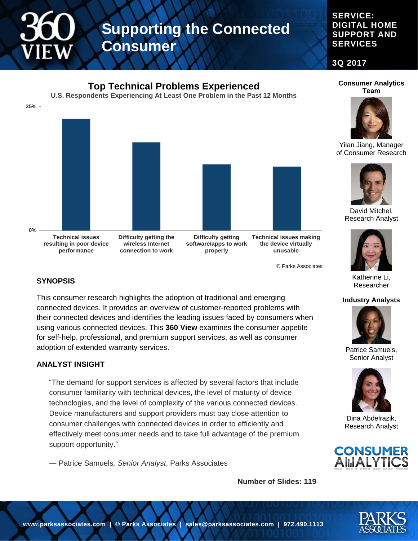#### **SERVICE: DIGITAL HOME SUPPORT AND SERVICES**

**3Q 2017**



© Parks Associates

#### **SYNOPSIS**

This consumer research highlights the adoption of traditional and emerging connected devices. It provides an overview of customer-reported problems with their connected devices and identifies the leading issues faced by consumers when using various connected devices. This **360 View** examines the consumer appetite for self-help, professional, and premium support services, as well as consumer adoption of extended warranty services.

#### **ANALYST INSIGHT**

"The demand for support services is affected by several factors that include consumer familiarity with technical devices, the level of maturity of device technologies, and the level of complexity of the various connected devices. Device manufacturers and support providers must pay close attention to consumer challenges with connected devices in order to efficiently and effectively meet consumer needs and to take full advantage of the premium support opportunity."

― Patrice Samuels*, Senior Analyst*, Parks Associates

**Number of Slides: 119**





Yilan Jiang, Manager of Consumer Research



David Mitchel, Research Analyst



Katherine Li, Researcher

#### **Industry Analysts**



Patrice Samuels, Senior Analyst



Dina Abdelrazik, Research Analyst



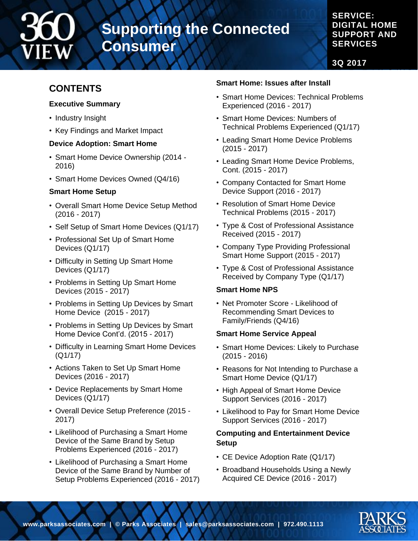

#### **SERVICE: DIGITAL HOME SUPPORT AND SERVICES**

**3Q 2017**

#### **CONTENTS**

#### **Executive Summary**

- Industry Insight
- Key Findings and Market Impact

#### **Device Adoption: Smart Home**

- Smart Home Device Ownership (2014 2016)
- Smart Home Devices Owned (Q4/16)

#### **Smart Home Setup**

- Overall Smart Home Device Setup Method (2016 - 2017)
- Self Setup of Smart Home Devices (Q1/17)
- Professional Set Up of Smart Home Devices (Q1/17)
- Difficulty in Setting Up Smart Home Devices (Q1/17)
- Problems in Setting Up Smart Home Devices (2015 - 2017)
- Problems in Setting Up Devices by Smart Home Device (2015 - 2017)
- Problems in Setting Up Devices by Smart Home Device Cont'd. (2015 - 2017)
- Difficulty in Learning Smart Home Devices (Q1/17)
- Actions Taken to Set Up Smart Home Devices (2016 - 2017)
- Device Replacements by Smart Home Devices (Q1/17)
- Overall Device Setup Preference (2015 2017)
- Likelihood of Purchasing a Smart Home Device of the Same Brand by Setup Problems Experienced (2016 - 2017)
- Likelihood of Purchasing a Smart Home Device of the Same Brand by Number of Setup Problems Experienced (2016 - 2017)

#### **Smart Home: Issues after Install**

- Smart Home Devices: Technical Problems Experienced (2016 - 2017)
- Smart Home Devices: Numbers of Technical Problems Experienced (Q1/17)
- Leading Smart Home Device Problems (2015 - 2017)
- Leading Smart Home Device Problems, Cont. (2015 - 2017)
- Company Contacted for Smart Home Device Support (2016 - 2017)
- Resolution of Smart Home Device Technical Problems (2015 - 2017)
- Type & Cost of Professional Assistance Received (2015 - 2017)
- Company Type Providing Professional Smart Home Support (2015 - 2017)
- Type & Cost of Professional Assistance Received by Company Type (Q1/17)

#### **Smart Home NPS**

• Net Promoter Score - Likelihood of Recommending Smart Devices to Family/Friends (Q4/16)

#### **Smart Home Service Appeal**

- Smart Home Devices: Likely to Purchase (2015 - 2016)
- Reasons for Not Intending to Purchase a Smart Home Device (Q1/17)
- High Appeal of Smart Home Device Support Services (2016 - 2017)
- Likelihood to Pay for Smart Home Device Support Services (2016 - 2017)

#### **Computing and Entertainment Device Setup**

- CE Device Adoption Rate (Q1/17)
- Broadband Households Using a Newly Acquired CE Device (2016 - 2017)

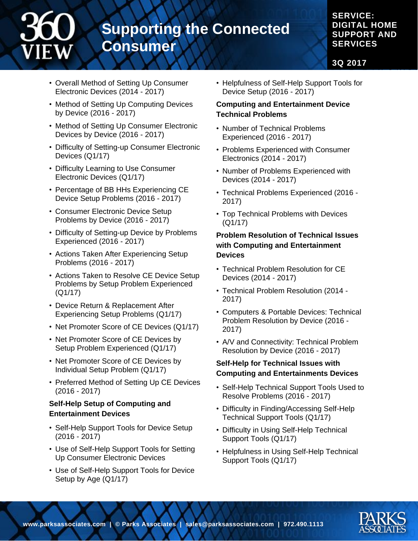#### **SERVICE: DIGITAL HOME SUPPORT AND SERVICES**

**3Q 2017**

- Overall Method of Setting Up Consumer Electronic Devices (2014 - 2017)
- Method of Setting Up Computing Devices by Device (2016 - 2017)
- Method of Setting Up Consumer Electronic Devices by Device (2016 - 2017)
- Difficulty of Setting-up Consumer Electronic Devices (Q1/17)
- Difficulty Learning to Use Consumer Electronic Devices (Q1/17)
- Percentage of BB HHs Experiencing CE Device Setup Problems (2016 - 2017)
- Consumer Electronic Device Setup Problems by Device (2016 - 2017)
- Difficulty of Setting-up Device by Problems Experienced (2016 - 2017)
- Actions Taken After Experiencing Setup Problems (2016 - 2017)
- Actions Taken to Resolve CE Device Setup Problems by Setup Problem Experienced (Q1/17)
- Device Return & Replacement After Experiencing Setup Problems (Q1/17)
- Net Promoter Score of CE Devices (Q1/17)
- Net Promoter Score of CE Devices by Setup Problem Experienced (Q1/17)
- Net Promoter Score of CE Devices by Individual Setup Problem (Q1/17)
- Preferred Method of Setting Up CE Devices (2016 - 2017)

#### **Self-Help Setup of Computing and Entertainment Devices**

- Self-Help Support Tools for Device Setup (2016 - 2017)
- Use of Self-Help Support Tools for Setting Up Consumer Electronic Devices
- Use of Self-Help Support Tools for Device Setup by Age (Q1/17)

• Helpfulness of Self-Help Support Tools for Device Setup (2016 - 2017)

#### **Computing and Entertainment Device Technical Problems**

- Number of Technical Problems Experienced (2016 - 2017)
- Problems Experienced with Consumer Electronics (2014 - 2017)
- Number of Problems Experienced with Devices (2014 - 2017)
- Technical Problems Experienced (2016 2017)
- Top Technical Problems with Devices (Q1/17)

#### **Problem Resolution of Technical Issues with Computing and Entertainment Devices**

- Technical Problem Resolution for CE Devices (2014 - 2017)
- Technical Problem Resolution (2014 2017)
- Computers & Portable Devices: Technical Problem Resolution by Device (2016 - 2017)
- A/V and Connectivity: Technical Problem Resolution by Device (2016 - 2017)

#### **Self-Help for Technical Issues with Computing and Entertainments Devices**

- Self-Help Technical Support Tools Used to Resolve Problems (2016 - 2017)
- Difficulty in Finding/Accessing Self-Help Technical Support Tools (Q1/17)
- Difficulty in Using Self-Help Technical Support Tools (Q1/17)
- Helpfulness in Using Self-Help Technical Support Tools (Q1/17)

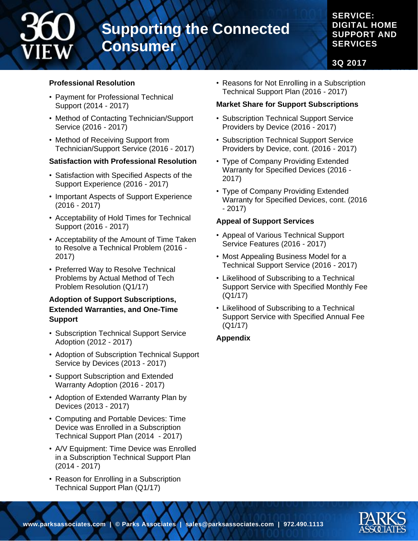#### **SERVICE: DIGITAL HOME SUPPORT AND SERVICES**

**3Q 2017**

#### **Professional Resolution**

- Payment for Professional Technical Support (2014 - 2017)
- Method of Contacting Technician/Support Service (2016 - 2017)
- Method of Receiving Support from Technician/Support Service (2016 - 2017)

#### **Satisfaction with Professional Resolution**

- Satisfaction with Specified Aspects of the Support Experience (2016 - 2017)
- Important Aspects of Support Experience (2016 - 2017)
- Acceptability of Hold Times for Technical Support (2016 - 2017)
- Acceptability of the Amount of Time Taken to Resolve a Technical Problem (2016 - 2017)
- Preferred Way to Resolve Technical Problems by Actual Method of Tech Problem Resolution (Q1/17)

#### **Adoption of Support Subscriptions, Extended Warranties, and One-Time Support**

- Subscription Technical Support Service Adoption (2012 - 2017)
- Adoption of Subscription Technical Support Service by Devices (2013 - 2017)
- Support Subscription and Extended Warranty Adoption (2016 - 2017)
- Adoption of Extended Warranty Plan by Devices (2013 - 2017)
- Computing and Portable Devices: Time Device was Enrolled in a Subscription Technical Support Plan (2014 - 2017)
- A/V Equipment: Time Device was Enrolled in a Subscription Technical Support Plan (2014 - 2017)
- Reason for Enrolling in a Subscription Technical Support Plan (Q1/17)

• Reasons for Not Enrolling in a Subscription Technical Support Plan (2016 - 2017)

#### **Market Share for Support Subscriptions**

- Subscription Technical Support Service Providers by Device (2016 - 2017)
- Subscription Technical Support Service Providers by Device, cont. (2016 - 2017)
- Type of Company Providing Extended Warranty for Specified Devices (2016 - 2017)
- Type of Company Providing Extended Warranty for Specified Devices, cont. (2016 - 2017)

#### **Appeal of Support Services**

- Appeal of Various Technical Support Service Features (2016 - 2017)
- Most Appealing Business Model for a Technical Support Service (2016 - 2017)
- Likelihood of Subscribing to a Technical Support Service with Specified Monthly Fee (Q1/17)
- Likelihood of Subscribing to a Technical Support Service with Specified Annual Fee (Q1/17)

#### **Appendix**